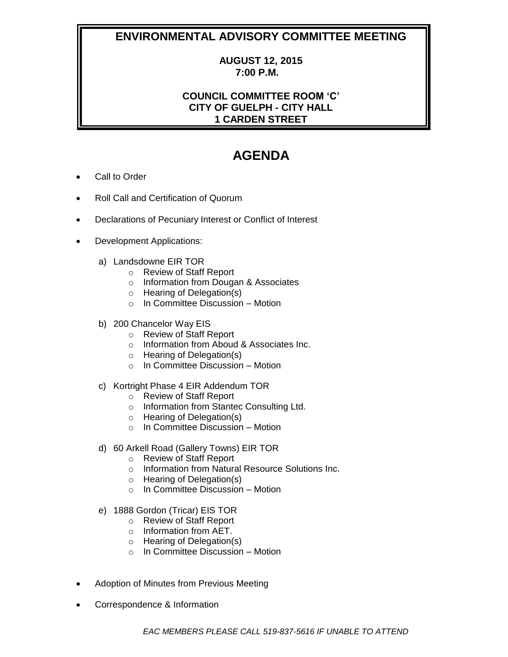## **ENVIRONMENTAL ADVISORY COMMITTEE MEETING**

## **AUGUST 12, 2015 7:00 P.M.**

## **COUNCIL COMMITTEE ROOM 'C' CITY OF GUELPH - CITY HALL 1 CARDEN STREET**

## **AGENDA**

- Call to Order
- Roll Call and Certification of Quorum
- Declarations of Pecuniary Interest or Conflict of Interest
- Development Applications:
	- a) Landsdowne EIR TOR
		- o Review of Staff Report
		- o Information from Dougan & Associates
		- o Hearing of Delegation(s)
		- o In Committee Discussion Motion
	- b) 200 Chancelor Way EIS
		- o Review of Staff Report
		- o Information from Aboud & Associates Inc.
		- o Hearing of Delegation(s)
		- o In Committee Discussion Motion
	- c) Kortright Phase 4 EIR Addendum TOR
		- o Review of Staff Report
		- o Information from Stantec Consulting Ltd.
		- o Hearing of Delegation(s)
		- o In Committee Discussion Motion
	- d) 60 Arkell Road (Gallery Towns) EIR TOR
		- o Review of Staff Report
		- o Information from Natural Resource Solutions Inc.
		- o Hearing of Delegation(s)
		- $\circ$  In Committee Discussion Motion
	- e) 1888 Gordon (Tricar) EIS TOR
		- o Review of Staff Report
		- o Information from AET.
		- o Hearing of Delegation(s)
		- o In Committee Discussion Motion
- Adoption of Minutes from Previous Meeting
- Correspondence & Information